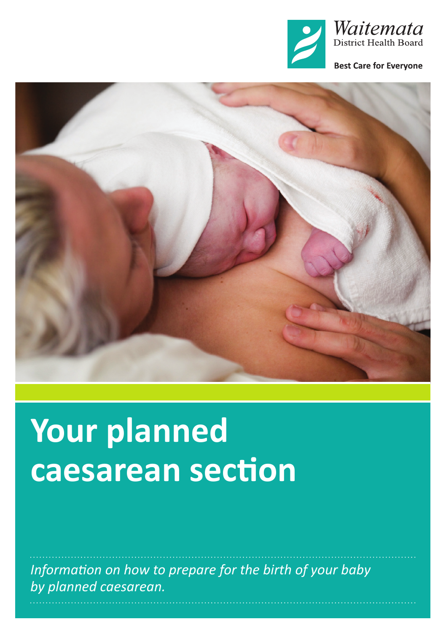



# **Your planned caesarean section**

*Information on how to prepare for the birth of your baby by planned caesarean.*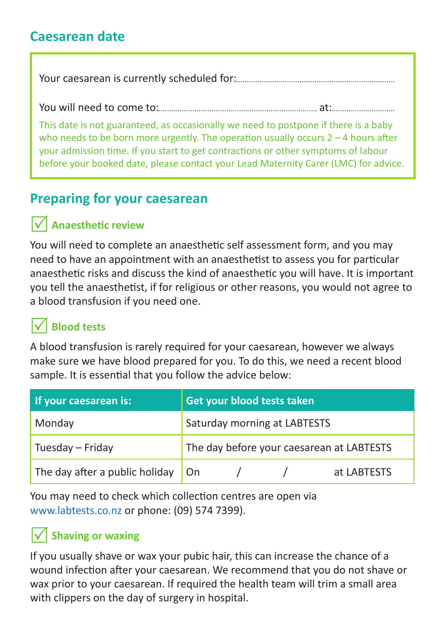#### **Caesarean date**

Your caesarean is currently scheduled for:

You will need to come to: at:

This date is not guaranteed, as occasionally we need to postpone if there is a baby who needs to be born more urgently. The operation usually occurs  $2 - 4$  hours after your admission time. If you start to get contractions or other symptoms of labour before your booked date, please contact your Lead Maternity Carer (LMC) for advice.

### **Preparing for your caesarean**

#### R **Anaesthetic review**

You will need to complete an anaesthetic self assessment form, and you may need to have an appointment with an anaesthetist to assess you for particular anaesthetic risks and discuss the kind of anaesthetic you will have. It is important you tell the anaesthetist, if for religious or other reasons, you would not agree to a blood transfusion if you need one.

# R **Blood tests**

A blood transfusion is rarely required for your caesarean, however we always make sure we have blood prepared for you. To do this, we need a recent blood sample. It is essential that you follow the advice below:

| If your caesarean is:          | Get your blood tests taken                |  |  |             |
|--------------------------------|-------------------------------------------|--|--|-------------|
| Monday                         | Saturday morning at LABTESTS              |  |  |             |
| Tuesday - Friday               | The day before your caesarean at LABTESTS |  |  |             |
| The day after a public holiday | On.                                       |  |  | at LABTESTS |

You may need to check which collection centres are open via [www.labtests.co.nz](http://www.labtests.co.nz) or phone: (09) 574 7399).

#### **Shaving or waxing**

If you usually shave or wax your pubic hair, this can increase the chance of a wound infection after your caesarean. We recommend that you do not shave or wax prior to your caesarean. If required the health team will trim a small area with clippers on the day of surgery in hospital.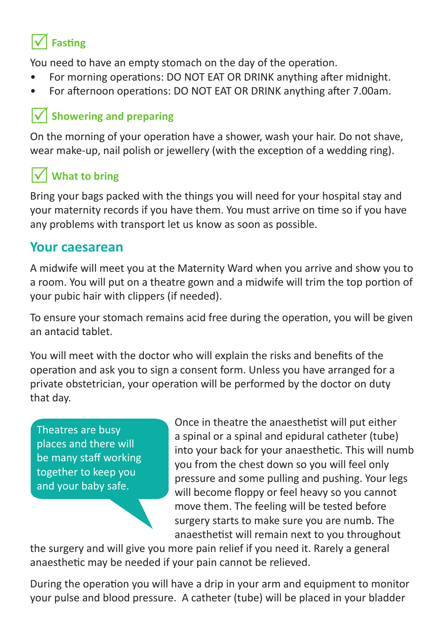# R **Fasting**

You need to have an empty stomach on the day of the operation.

- For morning operations: DO NOT EAT OR DRINK anything after midnight.
- For afternoon operations: DO NOT EAT OR DRINK anything after 7.00am.

#### **Showering and preparing**

On the morning of your operation have a shower, wash your hair. Do not shave, wear make-up, nail polish or jewellery (with the exception of a wedding ring).

# **What to bring**

Bring your bags packed with the things you will need for your hospital stay and your maternity records if you have them. You must arrive on time so if you have any problems with transport let us know as soon as possible.

#### **Your caesarean**

A midwife will meet you at the Maternity Ward when you arrive and show you to a room. You will put on a theatre gown and a midwife will trim the top portion of your pubic hair with clippers (if needed).

To ensure your stomach remains acid free during the operation, you will be given an antacid tablet.

You will meet with the doctor who will explain the risks and benefits of the operation and ask you to sign a consent form. Unless you have arranged for a private obstetrician, your operation will be performed by the doctor on duty that day.

Theatres are busy places and there will be many staff working together to keep you and your baby safe.

Once in theatre the anaesthetist will put either a spinal or a spinal and epidural catheter (tube) into your back for your anaesthetic. This will numb you from the chest down so you will feel only pressure and some pulling and pushing. Your legs will become floppy or feel heavy so you cannot move them. The feeling will be tested before surgery starts to make sure you are numb. The anaesthetist will remain next to you throughout

the surgery and will give you more pain relief if you need it. Rarely a general anaesthetic may be needed if your pain cannot be relieved.

During the operation you will have a drip in your arm and equipment to monitor your pulse and blood pressure. A catheter (tube) will be placed in your bladder